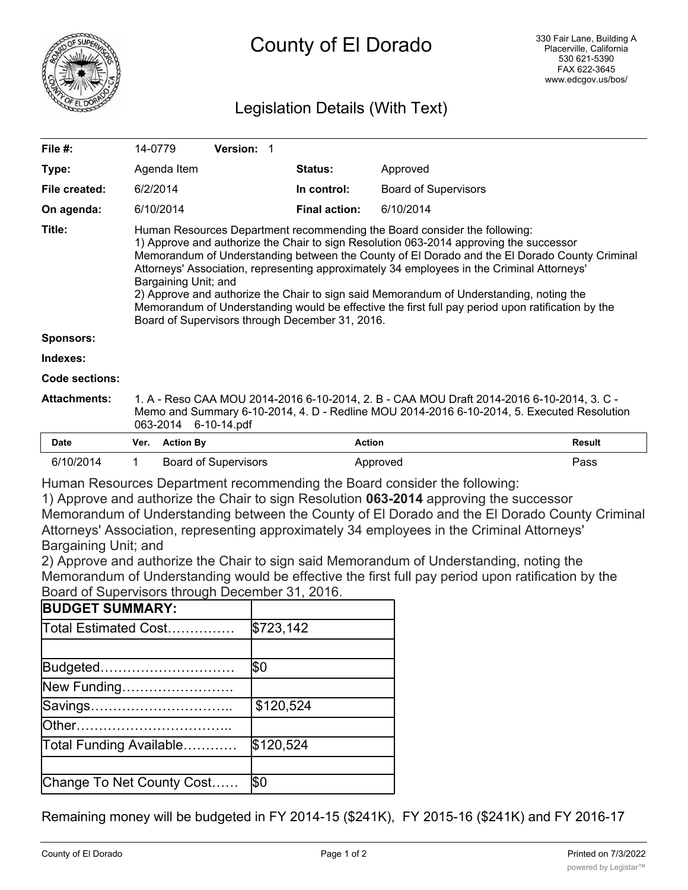

# County of El Dorado

# Legislation Details (With Text)

| File $#$ :          | 14-0779                                                                                                                                                                                                                                                                                                                                                                                                                                                                                                                                                                                                                                       |                  | <b>Version: 1</b>           |  |                      |                             |               |
|---------------------|-----------------------------------------------------------------------------------------------------------------------------------------------------------------------------------------------------------------------------------------------------------------------------------------------------------------------------------------------------------------------------------------------------------------------------------------------------------------------------------------------------------------------------------------------------------------------------------------------------------------------------------------------|------------------|-----------------------------|--|----------------------|-----------------------------|---------------|
| Type:               |                                                                                                                                                                                                                                                                                                                                                                                                                                                                                                                                                                                                                                               | Agenda Item      |                             |  | <b>Status:</b>       | Approved                    |               |
| File created:       | 6/2/2014                                                                                                                                                                                                                                                                                                                                                                                                                                                                                                                                                                                                                                      |                  |                             |  | In control:          | <b>Board of Supervisors</b> |               |
| On agenda:          |                                                                                                                                                                                                                                                                                                                                                                                                                                                                                                                                                                                                                                               | 6/10/2014        |                             |  | <b>Final action:</b> | 6/10/2014                   |               |
| Title:              | Human Resources Department recommending the Board consider the following:<br>1) Approve and authorize the Chair to sign Resolution 063-2014 approving the successor<br>Memorandum of Understanding between the County of El Dorado and the El Dorado County Criminal<br>Attorneys' Association, representing approximately 34 employees in the Criminal Attorneys'<br>Bargaining Unit; and<br>2) Approve and authorize the Chair to sign said Memorandum of Understanding, noting the<br>Memorandum of Understanding would be effective the first full pay period upon ratification by the<br>Board of Supervisors through December 31, 2016. |                  |                             |  |                      |                             |               |
| <b>Sponsors:</b>    |                                                                                                                                                                                                                                                                                                                                                                                                                                                                                                                                                                                                                                               |                  |                             |  |                      |                             |               |
| Indexes:            |                                                                                                                                                                                                                                                                                                                                                                                                                                                                                                                                                                                                                                               |                  |                             |  |                      |                             |               |
| Code sections:      |                                                                                                                                                                                                                                                                                                                                                                                                                                                                                                                                                                                                                                               |                  |                             |  |                      |                             |               |
| <b>Attachments:</b> | 1. A - Reso CAA MOU 2014-2016 6-10-2014, 2. B - CAA MOU Draft 2014-2016 6-10-2014, 3. C -<br>Memo and Summary 6-10-2014, 4. D - Redline MOU 2014-2016 6-10-2014, 5. Executed Resolution<br>6-10-14.pdf<br>063-2014                                                                                                                                                                                                                                                                                                                                                                                                                            |                  |                             |  |                      |                             |               |
| <b>Date</b>         | Ver.                                                                                                                                                                                                                                                                                                                                                                                                                                                                                                                                                                                                                                          | <b>Action By</b> |                             |  | <b>Action</b>        |                             | <b>Result</b> |
| 6/10/2014           | 1                                                                                                                                                                                                                                                                                                                                                                                                                                                                                                                                                                                                                                             |                  | <b>Board of Supervisors</b> |  |                      | Approved                    | Pass          |

Human Resources Department recommending the Board consider the following:

1) Approve and authorize the Chair to sign Resolution **063-2014** approving the successor Memorandum of Understanding between the County of El Dorado and the El Dorado County Criminal Attorneys' Association, representing approximately 34 employees in the Criminal Attorneys' Bargaining Unit; and

2) Approve and authorize the Chair to sign said Memorandum of Understanding, noting the Memorandum of Understanding would be effective the first full pay period upon ratification by the Board of Supervisors through December 31, 2016.

| <b>BUDGET SUMMARY:</b>    |           |
|---------------------------|-----------|
| Total Estimated Cost      | \$723,142 |
|                           |           |
| Budgeted                  | \$0       |
| New Funding               |           |
| Savings                   | \$120,524 |
|                           |           |
| Total Funding Available   | \$120,524 |
|                           |           |
| Change To Net County Cost | Ι\$Ο      |

Remaining money will be budgeted in FY 2014-15 (\$241K), FY 2015-16 (\$241K) and FY 2016-17